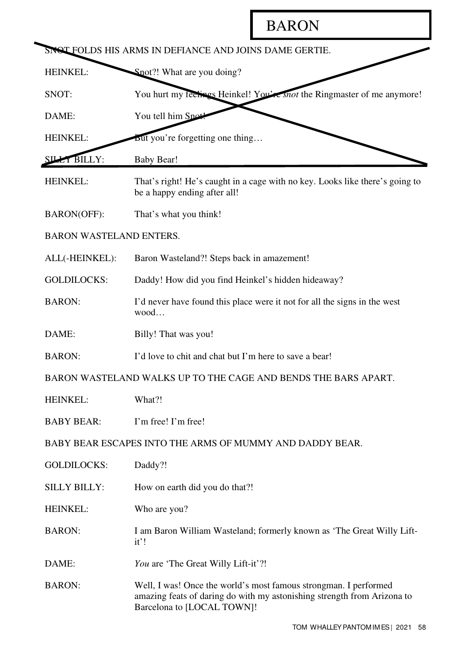## **BARON**

| SINGT FOLDS HIS ARMS IN DEFIANCE AND JOINS DAME GERTIE.        |                                                                                                                                                                           |  |
|----------------------------------------------------------------|---------------------------------------------------------------------------------------------------------------------------------------------------------------------------|--|
| HEINKEL:                                                       | Snot?! What are you doing?                                                                                                                                                |  |
| SNOT:                                                          | You hurt my feelings Heinkel! You're snot the Ringmaster of me anymore!                                                                                                   |  |
| DAME:                                                          | You tell him Sno                                                                                                                                                          |  |
| HEINKEL:                                                       | But you're forgetting one thing                                                                                                                                           |  |
| <b>ET BILLY:</b>                                               | <b>Baby Bear!</b>                                                                                                                                                         |  |
| HEINKEL:                                                       | That's right! He's caught in a cage with no key. Looks like there's going to<br>be a happy ending after all!                                                              |  |
| <b>BARON(OFF):</b>                                             | That's what you think!                                                                                                                                                    |  |
| <b>BARON WASTELAND ENTERS.</b>                                 |                                                                                                                                                                           |  |
| ALL(-HEINKEL):                                                 | Baron Wasteland?! Steps back in amazement!                                                                                                                                |  |
| <b>GOLDILOCKS:</b>                                             | Daddy! How did you find Heinkel's hidden hideaway?                                                                                                                        |  |
| <b>BARON:</b>                                                  | I'd never have found this place were it not for all the signs in the west<br>wood                                                                                         |  |
| DAME:                                                          | Billy! That was you!                                                                                                                                                      |  |
| <b>BARON:</b>                                                  | I'd love to chit and chat but I'm here to save a bear!                                                                                                                    |  |
| BARON WASTELAND WALKS UP TO THE CAGE AND BENDS THE BARS APART. |                                                                                                                                                                           |  |
| HEINKEL:                                                       | What?!                                                                                                                                                                    |  |
| <b>BABY BEAR:</b>                                              | I'm free! I'm free!                                                                                                                                                       |  |
| BABY BEAR ESCAPES INTO THE ARMS OF MUMMY AND DADDY BEAR.       |                                                                                                                                                                           |  |
| <b>GOLDILOCKS:</b>                                             | Daddy?!                                                                                                                                                                   |  |
| <b>SILLY BILLY:</b>                                            | How on earth did you do that?!                                                                                                                                            |  |
| HEINKEL:                                                       | Who are you?                                                                                                                                                              |  |
| <b>BARON:</b>                                                  | I am Baron William Wasteland; formerly known as 'The Great Willy Lift-<br>it'!                                                                                            |  |
| DAME:                                                          | You are 'The Great Willy Lift-it'?!                                                                                                                                       |  |
| <b>BARON:</b>                                                  | Well, I was! Once the world's most famous strongman. I performed<br>amazing feats of daring do with my astonishing strength from Arizona to<br>Barcelona to [LOCAL TOWN]! |  |

 $\ddot{\phantom{0}}$